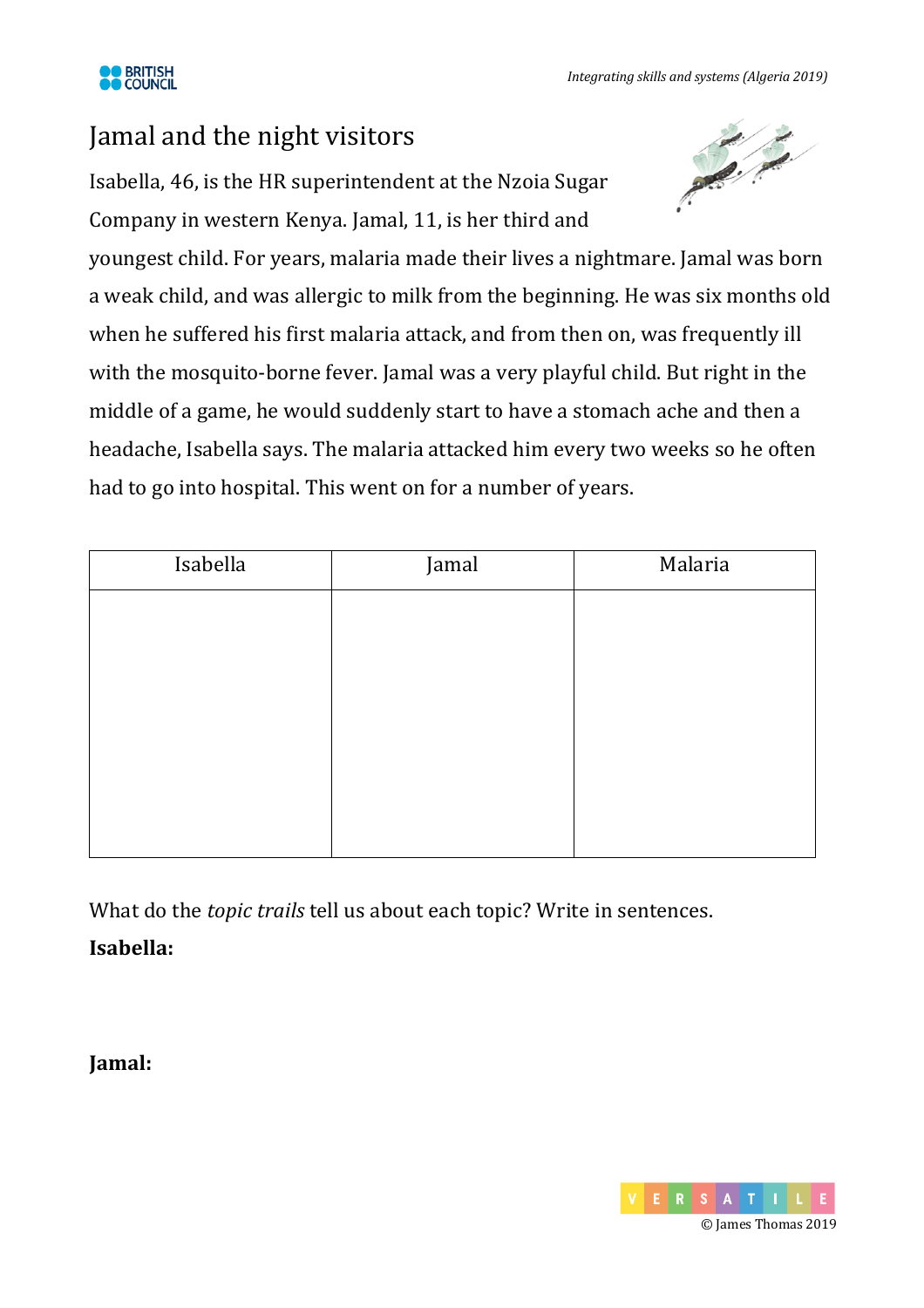

## Jamal and the night visitors

Isabella, 46, is the HR superintendent at the Nzoia Sugar Company in western Kenya. Jamal, 11, is her third and



youngest child. For years, malaria made their lives a nightmare. Jamal was born a weak child, and was allergic to milk from the beginning. He was six months old when he suffered his first malaria attack, and from then on, was frequently ill with the mosquito-borne fever. Jamal was a very playful child. But right in the middle of a game, he would suddenly start to have a stomach ache and then a headache, Isabella says. The malaria attacked him every two weeks so he often had to go into hospital. This went on for a number of years.

| Isabella | Jamal | Malaria |
|----------|-------|---------|
|          |       |         |
|          |       |         |
|          |       |         |
|          |       |         |
|          |       |         |
|          |       |         |
|          |       |         |

What do the *topic trails* tell us about each topic? Write in sentences. **Isabella:**

**Jamal:**